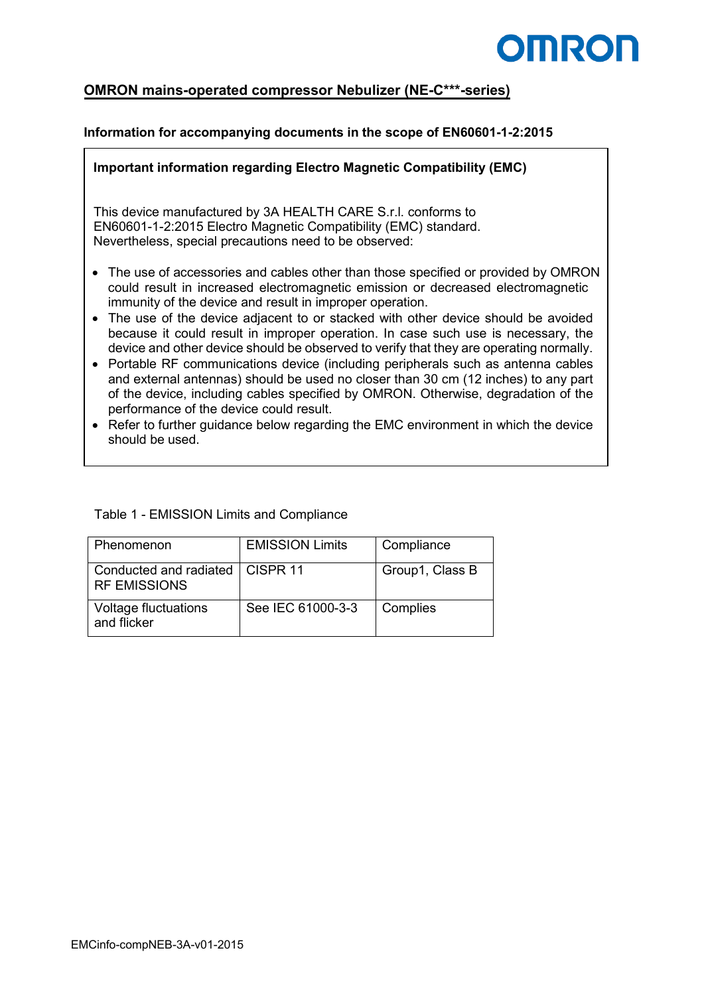

# **OMRON mains-operated compressor Nebulizer (NE-C\*\*\*-series)**

### **Information for accompanying documents in the scope of EN60601-1-2:2015**

#### **Important information regarding Electro Magnetic Compatibility (EMC)**

This device manufactured by 3A HEALTH CARE S.r.l. conforms to EN60601-1-2:2015 Electro Magnetic Compatibility (EMC) standard. Nevertheless, special precautions need to be observed:

- The use of accessories and cables other than those specified or provided by OMRON could result in increased electromagnetic emission or decreased electromagnetic immunity of the device and result in improper operation.
- The use of the device adjacent to or stacked with other device should be avoided because it could result in improper operation. In case such use is necessary, the device and other device should be observed to verify that they are operating normally.
- Portable RF communications device (including peripherals such as antenna cables and external antennas) should be used no closer than 30 cm (12 inches) to any part of the device, including cables specified by OMRON. Otherwise, degradation of the performance of the device could result.
- Refer to further guidance below regarding the EMC environment in which the device should be used.

| Table 1 - EMISSION Limits and Compliance |  |  |
|------------------------------------------|--|--|
|------------------------------------------|--|--|

| Phenomenon                                    | <b>EMISSION Limits</b> | Compliance      |
|-----------------------------------------------|------------------------|-----------------|
| Conducted and radiated<br><b>RF EMISSIONS</b> | CISPR <sub>11</sub>    | Group1, Class B |
| <b>Voltage fluctuations</b><br>and flicker    | See IEC 61000-3-3      | Complies        |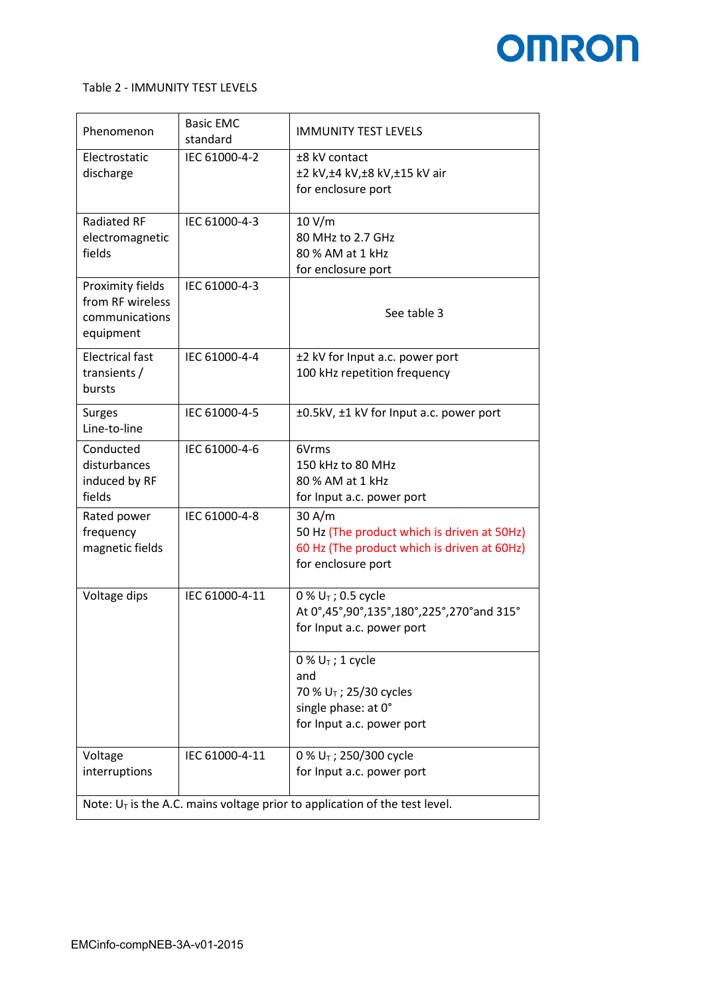

#### Table 2 - IMMUNITY TEST LEVELS

| Phenomenon                                                                    | <b>Basic EMC</b><br>standard | <b>IMMUNITY TEST LEVELS</b>                                                                                                |  |  |  |
|-------------------------------------------------------------------------------|------------------------------|----------------------------------------------------------------------------------------------------------------------------|--|--|--|
| Electrostatic<br>discharge                                                    | IEC 61000-4-2                | ±8 kV contact<br>±2 kV,±4 kV,±8 kV,±15 kV air<br>for enclosure port                                                        |  |  |  |
| <b>Radiated RF</b><br>electromagnetic<br>fields                               | IEC 61000-4-3                | 10 V/m<br>80 MHz to 2.7 GHz<br>80 % AM at 1 kHz<br>for enclosure port                                                      |  |  |  |
| Proximity fields<br>from RF wireless<br>communications<br>equipment           | IEC 61000-4-3                | See table 3                                                                                                                |  |  |  |
| <b>Electrical fast</b><br>transients /<br>bursts                              | IEC 61000-4-4                | ±2 kV for Input a.c. power port<br>100 kHz repetition frequency                                                            |  |  |  |
| <b>Surges</b><br>Line-to-line                                                 | IEC 61000-4-5                | ±0.5kV, ±1 kV for Input a.c. power port                                                                                    |  |  |  |
| Conducted<br>disturbances<br>induced by RF<br>fields                          | IEC 61000-4-6                | 6Vrms<br>150 kHz to 80 MHz<br>80 % AM at 1 kHz<br>for Input a.c. power port                                                |  |  |  |
| Rated power<br>frequency<br>magnetic fields                                   | IEC 61000-4-8                | 30 A/m<br>50 Hz (The product which is driven at 50Hz)<br>60 Hz (The product which is driven at 60Hz)<br>for enclosure port |  |  |  |
| Voltage dips                                                                  | IEC 61000-4-11               | 0 % $U_T$ ; 0.5 cycle<br>At 0°,45°,90°,135°,180°,225°,270°and 315°<br>for Input a.c. power port                            |  |  |  |
|                                                                               |                              | $0\% U_T$ ; 1 cycle<br>and<br>70 % U <sub>T</sub> ; 25/30 cycles<br>single phase: at 0°<br>for Input a.c. power port       |  |  |  |
| Voltage<br>interruptions                                                      | IEC 61000-4-11               | 0 % $U_T$ ; 250/300 cycle<br>for Input a.c. power port                                                                     |  |  |  |
| Note: $U_T$ is the A.C. mains voltage prior to application of the test level. |                              |                                                                                                                            |  |  |  |